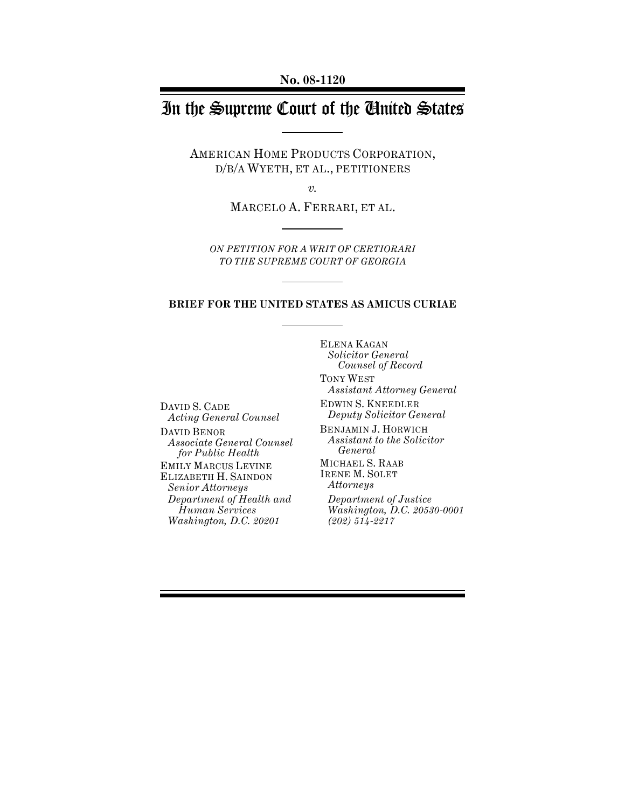**No. 08-1120**

# In the Supreme Court of the United States

AMERICAN HOME PRODUCTS CORPORATION, D/B/A WYETH, ET AL., PETITIONERS

*v.*

MARCELO A. FERRARI, ET AL.

*ON PETITION FOR A WRIT OF CERTIORARI TO THE SUPREME COURT OF GEORGIA*

#### **BRIEF FOR THE UNITED STATES AS AMICUS CURIAE**

ELENA KAGAN *Solicitor General Counsel of Record*

DAVID S. CADE *Acting General Counsel*

DAVID BENOR *Associate General Counsel for Public Health* EMILY MARCUS LEVINE ELIZABETH H. SAINDON *Senior Attorneys Department of Health and Human Services Washington, D.C. 20201*

TONY WEST *Assistant Attorney General*

EDWIN S. KNEEDLER *Deputy Solicitor General*

BENJAMIN J. HORWICH *Assistant to the Solicitor General*

MICHAEL S. RAAB IRENE M. SOLET *Attorneys* 

*Department of Justice Washington, D.C. 20530-0001 (202) 514-2217*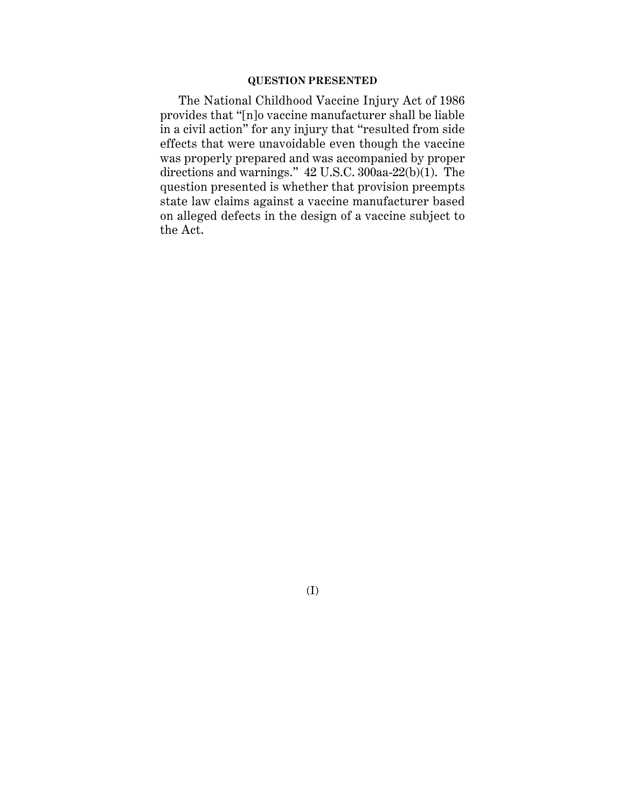#### **QUESTION PRESENTED**

The National Childhood Vaccine Injury Act of 1986 provides that "[n]o vaccine manufacturer shall be liable in a civil action" for any injury that "resulted from side effects that were unavoidable even though the vaccine was properly prepared and was accompanied by proper directions and warnings." 42 U.S.C. 300aa-22(b)(1). The question presented is whether that provision preempts state law claims against a vaccine manufacturer based on alleged defects in the design of a vaccine subject to the Act.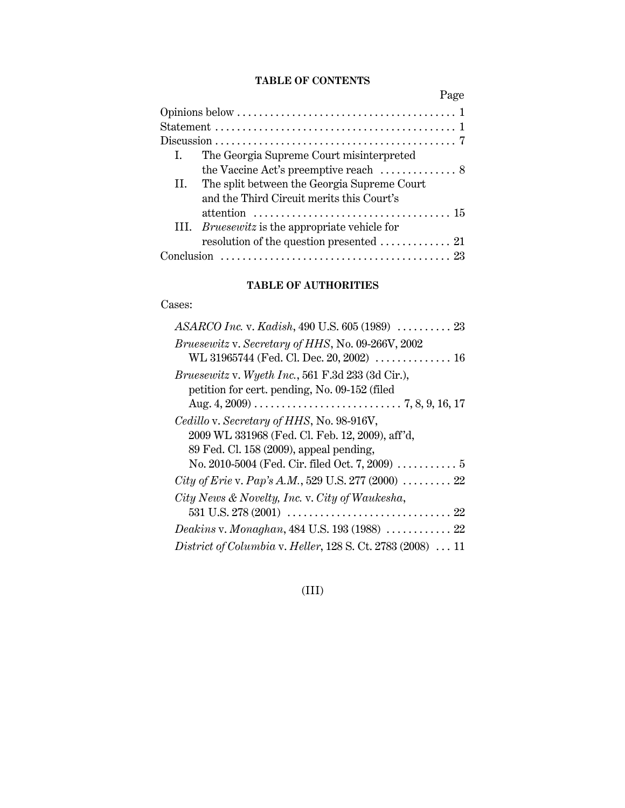## **TABLE OF CONTENTS**

|                                                                                                     | Page |
|-----------------------------------------------------------------------------------------------------|------|
|                                                                                                     |      |
|                                                                                                     |      |
|                                                                                                     |      |
| The Georgia Supreme Court misinterpreted<br>$\mathbf{L}$                                            |      |
| the Vaccine Act's preemptive reach $\dots\dots\dots\dots$ .                                         |      |
| II. The split between the Georgia Supreme Court                                                     |      |
| and the Third Circuit merits this Court's                                                           |      |
|                                                                                                     |      |
| III. <i>Bruesewitz</i> is the appropriate vehicle for                                               |      |
|                                                                                                     |      |
| Conclusion $\ldots \ldots \ldots \ldots \ldots \ldots \ldots \ldots \ldots \ldots \ldots \ldots$ 23 |      |

## **TABLE OF AUTHORITIES**

## Cases:

| $ASARCO$ Inc. v. Kadish, 490 U.S. 605 (1989) $\ldots \ldots \ldots$ 23    |
|---------------------------------------------------------------------------|
| Bruesewitz v. Secretary of HHS, No. 09-266V, 2002                         |
| WL 31965744 (Fed. Cl. Dec. 20, 2002)  16                                  |
| Bruesewitz v. Wyeth Inc., 561 F.3d 233 (3d Cir.),                         |
| petition for cert. pending, No. 09-152 (filed                             |
|                                                                           |
| Cedillo v. Secretary of HHS, No. 98-916V,                                 |
| 2009 WL 331968 (Fed. Cl. Feb. 12, 2009), aff'd,                           |
| 89 Fed. Cl. 158 (2009), appeal pending,                                   |
| No. 2010-5004 (Fed. Cir. filed Oct. 7, 2009) $\ldots \ldots \ldots 5$     |
| City of Erie v. Pap's A.M., 529 U.S. 277 (2000) $\ldots \ldots \ldots$ 22 |
| City News & Novelty, Inc. v. City of Waukesha,                            |
|                                                                           |
| <i>Deakins v. Monaghan, 484 U.S. 193 (1988)  22</i>                       |
| <i>District of Columbia v. Heller, 128 S. Ct. 2783 (2008)  11</i>         |

## (III)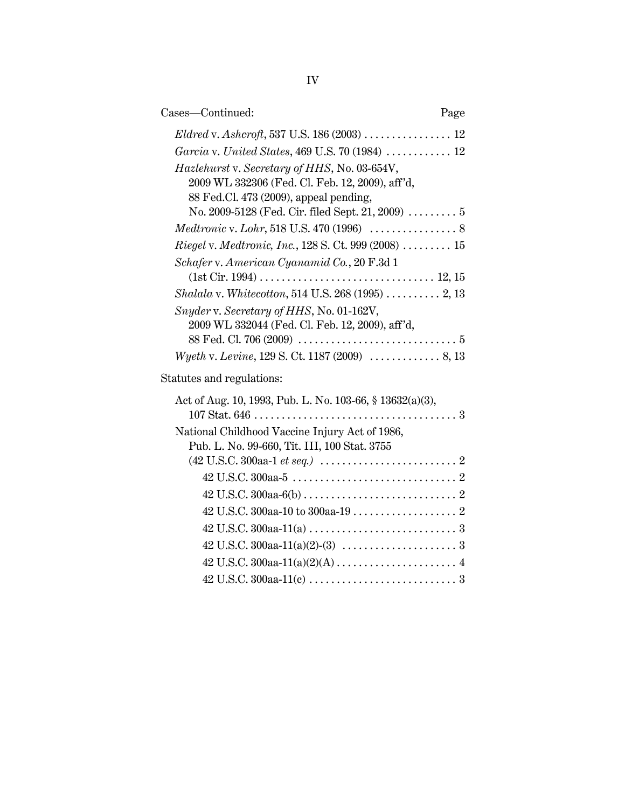| Cases-Continued:                                                                                                                          | Page |
|-------------------------------------------------------------------------------------------------------------------------------------------|------|
|                                                                                                                                           |      |
| Garcia v. United States, 469 U.S. 70 (1984)  12                                                                                           |      |
| Hazlehurst v. Secretary of HHS, No. 03-654V,<br>2009 WL 332306 (Fed. Cl. Feb. 12, 2009), aff'd,<br>88 Fed.Cl. 473 (2009), appeal pending, |      |
| No. 2009-5128 (Fed. Cir. filed Sept. 21, 2009) $\ldots \ldots \ldots 5$                                                                   |      |
|                                                                                                                                           |      |
| Riegel v. Medtronic, Inc., 128 S. Ct. 999 (2008)  15                                                                                      |      |
| Schafer v. American Cyanamid Co., 20 F.3d 1                                                                                               |      |
|                                                                                                                                           |      |
| Shalala v. Whitecotton, 514 U.S. 268 (1995)  2, 13                                                                                        |      |
| Snyder v. Secretary of HHS, No. 01-162V,<br>2009 WL 332044 (Fed. Cl. Feb. 12, 2009), aff'd,                                               |      |
| Wyeth v. Levine, 129 S. Ct. 1187 (2009)  8, 13                                                                                            |      |
| Statutes and regulations:                                                                                                                 |      |
| Act of Aug. 10, 1993, Pub. L. No. 103-66, § 13632(a)(3),                                                                                  |      |
| National Childhood Vaccine Injury Act of 1986,                                                                                            |      |
| Pub. L. No. 99-660, Tit. III, 100 Stat. 3755                                                                                              |      |
| $(42 \text{ U.S.C. } 300 \text{aa-1} \text{ et seq.}) \dots \dots \dots \dots \dots \dots \dots \dots \dots 2$                            |      |
|                                                                                                                                           |      |
|                                                                                                                                           |      |
|                                                                                                                                           |      |
|                                                                                                                                           |      |
|                                                                                                                                           |      |
|                                                                                                                                           |      |
|                                                                                                                                           |      |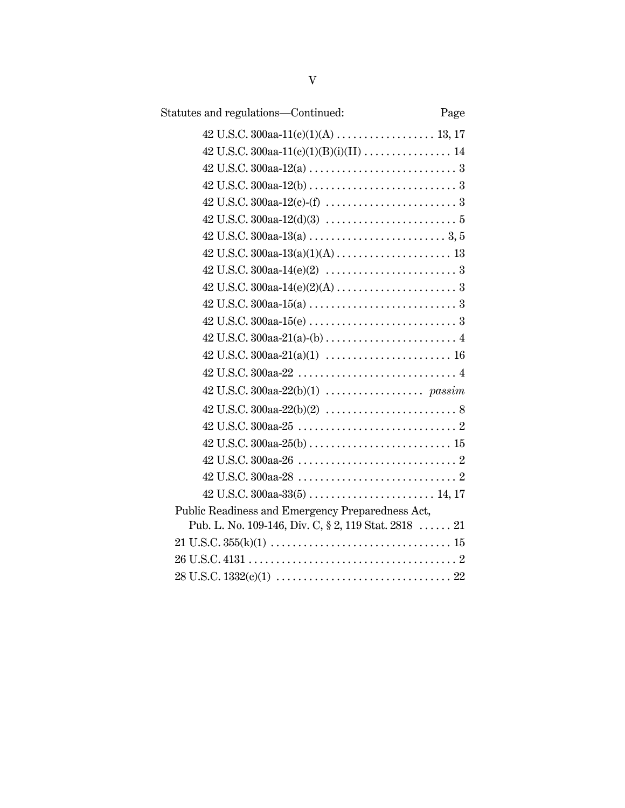| Statutes and regulations—Continued:                  | Page |
|------------------------------------------------------|------|
|                                                      |      |
|                                                      |      |
|                                                      |      |
|                                                      |      |
|                                                      |      |
|                                                      |      |
|                                                      |      |
|                                                      |      |
|                                                      |      |
|                                                      |      |
|                                                      |      |
|                                                      |      |
|                                                      |      |
|                                                      |      |
|                                                      |      |
|                                                      |      |
|                                                      |      |
|                                                      |      |
|                                                      |      |
|                                                      |      |
|                                                      |      |
|                                                      |      |
| Public Readiness and Emergency Preparedness Act,     |      |
| Pub. L. No. 109-146, Div. C, § 2, 119 Stat. 2818  21 |      |
|                                                      |      |
|                                                      |      |
|                                                      |      |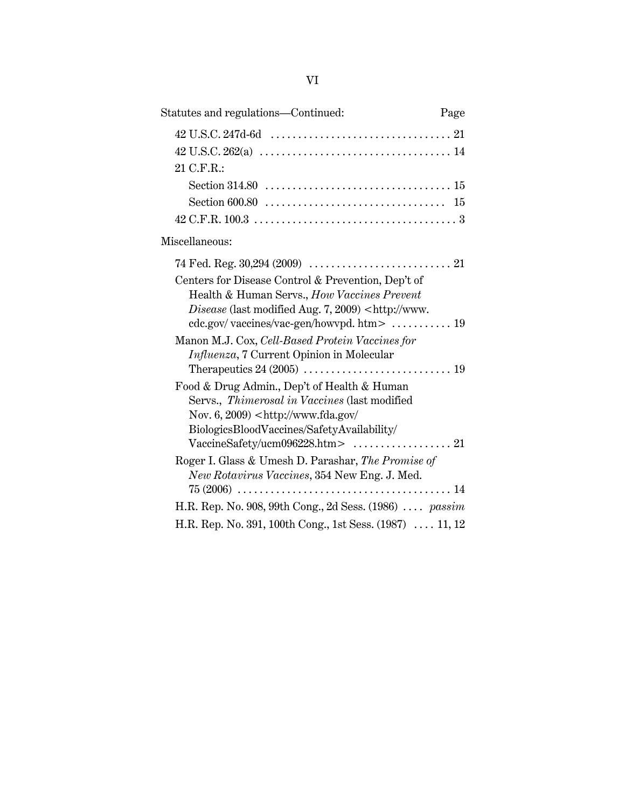| Statutes and regulations-Continued:                                                                                                                                               | Page |
|-----------------------------------------------------------------------------------------------------------------------------------------------------------------------------------|------|
|                                                                                                                                                                                   |      |
|                                                                                                                                                                                   |      |
| 21 C.F.R.:                                                                                                                                                                        |      |
|                                                                                                                                                                                   |      |
|                                                                                                                                                                                   |      |
|                                                                                                                                                                                   |      |
| Miscellaneous:                                                                                                                                                                    |      |
|                                                                                                                                                                                   |      |
| Centers for Disease Control & Prevention, Dep't of<br>Health & Human Servs., How Vaccines Prevent<br>Disease (last modified Aug. 7, 2009) <http: td="" www.<=""><td></td></http:> |      |
|                                                                                                                                                                                   |      |
| Manon M.J. Cox, Cell-Based Protein Vaccines for                                                                                                                                   |      |
| Influenza, 7 Current Opinion in Molecular                                                                                                                                         |      |
| Food & Drug Admin., Dep't of Health & Human                                                                                                                                       |      |
| Servs., Thimerosal in Vaccines (last modified                                                                                                                                     |      |
| Nov. $6, 2009$ <http: <="" td="" www.fda.gov=""><td></td></http:>                                                                                                                 |      |
| BiologicsBloodVaccines/SafetyAvailability/                                                                                                                                        |      |
|                                                                                                                                                                                   |      |
| Roger I. Glass & Umesh D. Parashar, The Promise of                                                                                                                                |      |
| New Rotavirus Vaccines, 354 New Eng. J. Med.                                                                                                                                      |      |
| H.R. Rep. No. 908, 99th Cong., 2d Sess. $(1986)$ <i>passim</i>                                                                                                                    |      |
| H.R. Rep. No. 391, 100th Cong., 1st Sess. (1987)  11, 12                                                                                                                          |      |
|                                                                                                                                                                                   |      |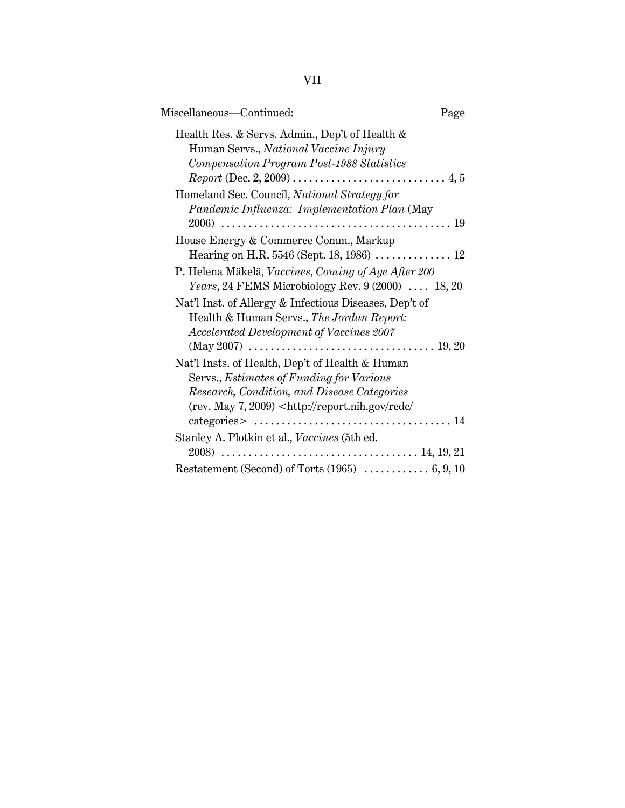| Miscellaneous-Continued:                                                                                                                                                                                                                                                                                                 | Page |
|--------------------------------------------------------------------------------------------------------------------------------------------------------------------------------------------------------------------------------------------------------------------------------------------------------------------------|------|
| Health Res. & Servs. Admin., Dep't of Health &<br>Human Servs., National Vaccine Injury<br>Compensation Program Post-1988 Statistics                                                                                                                                                                                     |      |
| Homeland Sec. Council, National Strategy for<br>Pandemic Influenza: Implementation Plan (May                                                                                                                                                                                                                             |      |
| House Energy & Commerce Comm., Markup                                                                                                                                                                                                                                                                                    |      |
| Hearing on H.R. 5546 (Sept. 18, 1986)  12                                                                                                                                                                                                                                                                                |      |
| P. Helena Mäkelä, Vaccines, Coming of Age After 200<br>Years, 24 FEMS Microbiology Rev. 9 (2000)  18, 20                                                                                                                                                                                                                 |      |
| Nat'l Inst. of Allergy & Infectious Diseases, Dep't of<br>Health & Human Servs., The Jordan Report:<br>Accelerated Development of Vaccines 2007                                                                                                                                                                          |      |
| Nat'l Insts. of Health, Dep't of Health & Human<br>Servs., Estimates of Funding for Various<br>Research, Condition, and Disease Categories<br>$(rev. May 7, 2009)$ <http: <br="" rcdc="" report.nih.gov=""><math>categories &gt; \ldots \ldots \ldots \ldots \ldots \ldots \ldots \ldots \ldots \ldots 14</math></http:> |      |
| Stanley A. Plotkin et al., Vaccines (5th ed.                                                                                                                                                                                                                                                                             |      |
|                                                                                                                                                                                                                                                                                                                          |      |

VII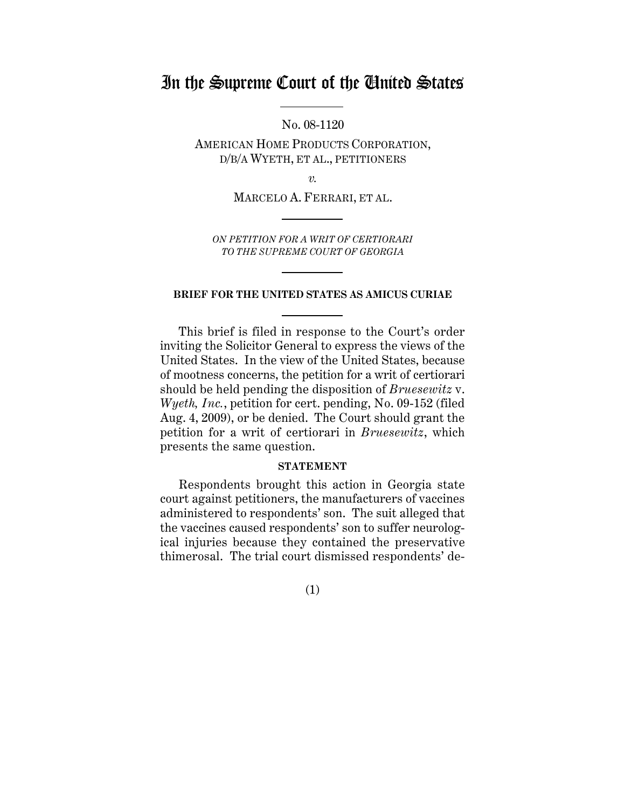## In the Supreme Court of the United States

No. 08-1120

AMERICAN HOME PRODUCTS CORPORATION, D/B/A WYETH, ET AL., PETITIONERS

*v.*

MARCELO A. FERRARI, ET AL.

*ON PETITION FOR A WRIT OF CERTIORARI TO THE SUPREME COURT OF GEORGIA*

#### **BRIEF FOR THE UNITED STATES AS AMICUS CURIAE**

This brief is filed in response to the Court's order inviting the Solicitor General to express the views of the United States. In the view of the United States, because of mootness concerns, the petition for a writ of certiorari should be held pending the disposition of *Bruesewitz* v. *Wyeth, Inc.*, petition for cert. pending, No. 09-152 (filed Aug. 4, 2009), or be denied. The Court should grant the petition for a writ of certiorari in *Bruesewitz*, which presents the same question.

#### **STATEMENT**

Respondents brought this action in Georgia state court against petitioners, the manufacturers of vaccines administered to respondents' son. The suit alleged that the vaccines caused respondents' son to suffer neurological injuries because they contained the preservative thimerosal. The trial court dismissed respondents' de-

(1)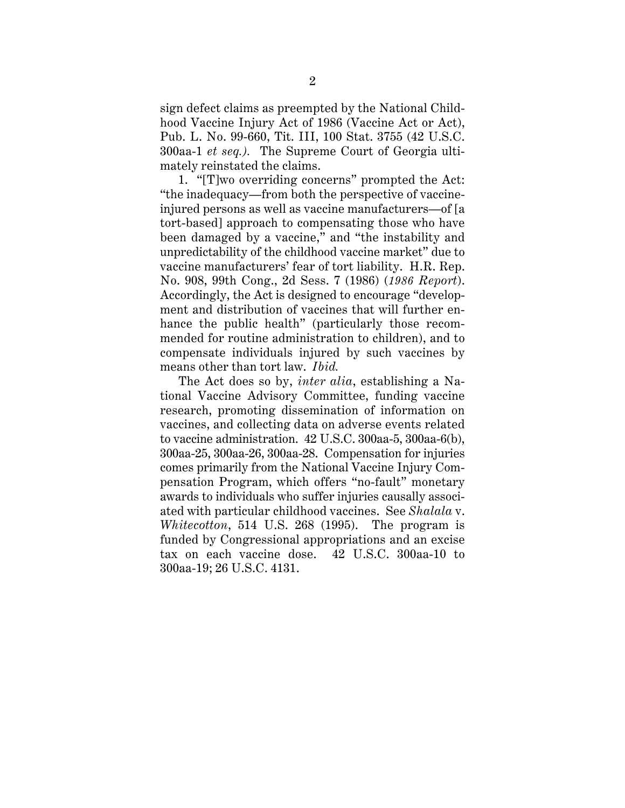sign defect claims as preempted by the National Childhood Vaccine Injury Act of 1986 (Vaccine Act or Act), Pub. L. No. 99-660, Tit. III, 100 Stat. 3755 (42 U.S.C. 300aa-1 *et seq.).* The Supreme Court of Georgia ultimately reinstated the claims.

1. "[T]wo overriding concerns" prompted the Act: "the inadequacy—from both the perspective of vaccineinjured persons as well as vaccine manufacturers—of [a tort-based] approach to compensating those who have been damaged by a vaccine," and "the instability and unpredictability of the childhood vaccine market" due to vaccine manufacturers' fear of tort liability. H.R. Rep. No. 908, 99th Cong., 2d Sess. 7 (1986) (*1986 Report*). Accordingly, the Act is designed to encourage "development and distribution of vaccines that will further enhance the public health" (particularly those recommended for routine administration to children), and to compensate individuals injured by such vaccines by means other than tort law. *Ibid.*

The Act does so by, *inter alia*, establishing a National Vaccine Advisory Committee, funding vaccine research, promoting dissemination of information on vaccines, and collecting data on adverse events related to vaccine administration. 42 U.S.C. 300aa-5, 300aa-6(b), 300aa-25, 300aa-26, 300aa-28. Compensation for injuries comes primarily from the National Vaccine Injury Compensation Program, which offers "no-fault" monetary awards to individuals who suffer injuries causally associated with particular childhood vaccines. See *Shalala* v. *Whitecotton*, 514 U.S. 268 (1995). The program is funded by Congressional appropriations and an excise tax on each vaccine dose. 42 U.S.C. 300aa-10 to 300aa-19; 26 U.S.C. 4131.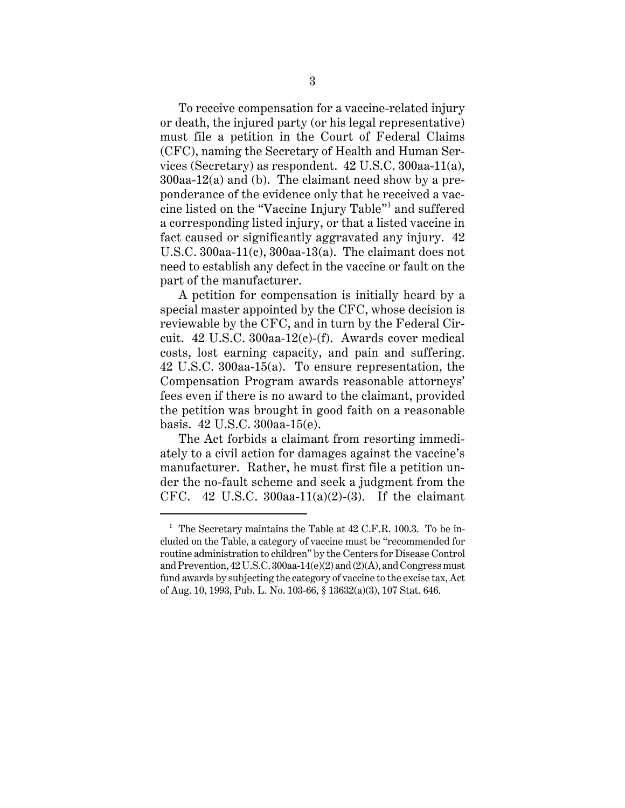To receive compensation for a vaccine-related injury or death, the injured party (or his legal representative) must file a petition in the Court of Federal Claims (CFC), naming the Secretary of Health and Human Services (Secretary) as respondent. 42 U.S.C. 300aa-11(a), 300aa-12(a) and (b). The claimant need show by a preponderance of the evidence only that he received a vaccine listed on the "Vaccine Injury Table"<sup>1</sup> and suffered a corresponding listed injury, or that a listed vaccine in fact caused or significantly aggravated any injury. 42 U.S.C. 300aa-11(c), 300aa-13(a). The claimant does not need to establish any defect in the vaccine or fault on the part of the manufacturer.

A petition for compensation is initially heard by a special master appointed by the CFC, whose decision is reviewable by the CFC, and in turn by the Federal Circuit. 42 U.S.C. 300aa-12(c)-(f). Awards cover medical costs, lost earning capacity, and pain and suffering. 42 U.S.C. 300aa-15(a). To ensure representation, the Compensation Program awards reasonable attorneys' fees even if there is no award to the claimant, provided the petition was brought in good faith on a reasonable basis. 42 U.S.C. 300aa-15(e).

The Act forbids a claimant from resorting immediately to a civil action for damages against the vaccine's manufacturer. Rather, he must first file a petition under the no-fault scheme and seek a judgment from the CFC. 42 U.S.C. 300aa-11(a)(2)-(3). If the claimant

 $1$  The Secretary maintains the Table at 42 C.F.R. 100.3. To be included on the Table, a category of vaccine must be "recommended for routine administration to children" by the Centers for Disease Control and Prevention, 42 U.S.C. 300aa-14(e)(2) and (2)(A), and Congress must fund awards by subjecting the category of vaccine to the excise tax, Act of Aug. 10, 1993, Pub. L. No. 103-66, § 13632(a)(3), 107 Stat. 646.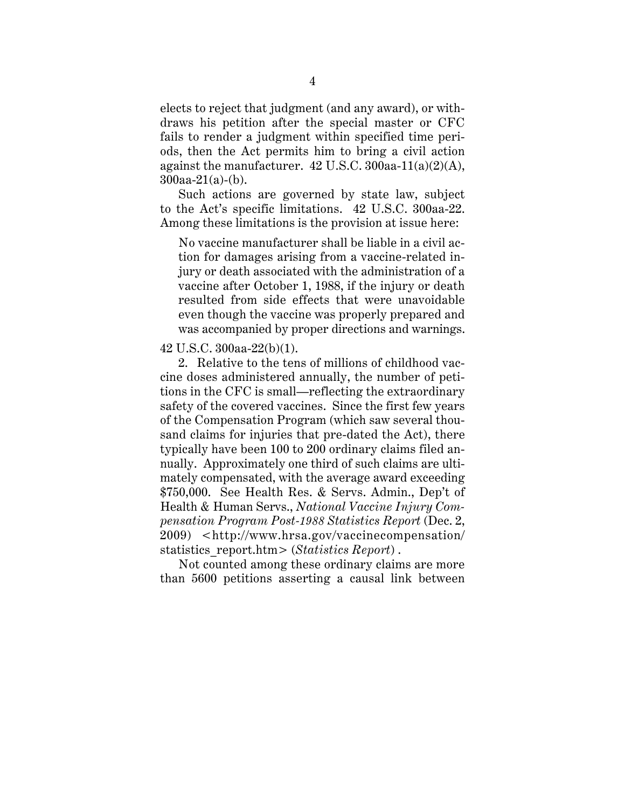elects to reject that judgment (and any award), or withdraws his petition after the special master or CFC fails to render a judgment within specified time periods, then the Act permits him to bring a civil action against the manufacturer.  $42$  U.S.C.  $300$ aa- $11(a)(2)(A)$ , 300aa-21(a)-(b).

Such actions are governed by state law, subject to the Act's specific limitations. 42 U.S.C. 300aa-22. Among these limitations is the provision at issue here:

No vaccine manufacturer shall be liable in a civil action for damages arising from a vaccine-related injury or death associated with the administration of a vaccine after October 1, 1988, if the injury or death resulted from side effects that were unavoidable even though the vaccine was properly prepared and was accompanied by proper directions and warnings.

42 U.S.C. 300aa-22(b)(1).

2. Relative to the tens of millions of childhood vaccine doses administered annually, the number of petitions in the CFC is small—reflecting the extraordinary safety of the covered vaccines. Since the first few years of the Compensation Program (which saw several thousand claims for injuries that pre-dated the Act), there typically have been 100 to 200 ordinary claims filed annually. Approximately one third of such claims are ultimately compensated, with the average award exceeding \$750,000. See Health Res. & Servs. Admin., Dep't of Health & Human Servs., *National Vaccine Injury Compensation Program Post-1988 Statistics Report* (Dec. 2, 2009) <http://www.hrsa.gov/vaccinecompensation/ statistics\_report.htm> (*Statistics Report*) .

Not counted among these ordinary claims are more than 5600 petitions asserting a causal link between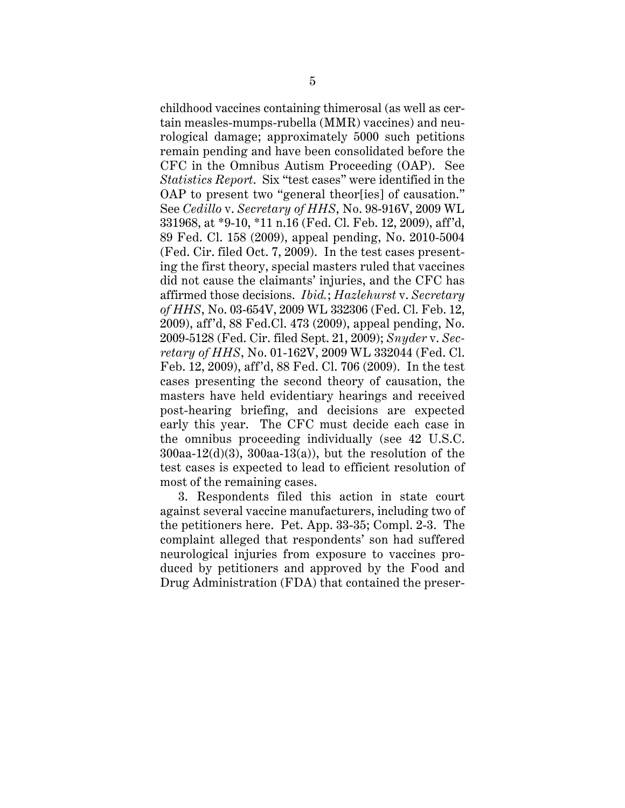childhood vaccines containing thimerosal (as well as certain measles-mumps-rubella (MMR) vaccines) and neurological damage; approximately 5000 such petitions remain pending and have been consolidated before the CFC in the Omnibus Autism Proceeding (OAP). See *Statistics Report*. Six "test cases" were identified in the OAP to present two "general theor[ies] of causation." See *Cedillo* v. *Secretary of HHS*, No. 98-916V, 2009 WL 331968, at \*9-10, \*11 n.16 (Fed. Cl. Feb. 12, 2009), aff'd, 89 Fed. Cl. 158 (2009), appeal pending, No. 2010-5004 (Fed. Cir. filed Oct. 7, 2009). In the test cases presenting the first theory, special masters ruled that vaccines did not cause the claimants' injuries, and the CFC has affirmed those decisions. *Ibid.*; *Hazlehurst* v. *Secretary of HHS*, No. 03-654V, 2009 WL 332306 (Fed. Cl. Feb. 12, 2009), aff'd, 88 Fed.Cl. 473 (2009), appeal pending, No. 2009-5128 (Fed. Cir. filed Sept. 21, 2009); *Snyder* v. *Secretary of HHS*, No. 01-162V, 2009 WL 332044 (Fed. Cl. Feb. 12, 2009), aff'd, 88 Fed. Cl. 706 (2009). In the test cases presenting the second theory of causation, the masters have held evidentiary hearings and received post-hearing briefing, and decisions are expected early this year. The CFC must decide each case in the omnibus proceeding individually (see 42 U.S.C.  $300$ aa-12(d)(3),  $300$ aa-13(a)), but the resolution of the test cases is expected to lead to efficient resolution of most of the remaining cases.

3. Respondents filed this action in state court against several vaccine manufacturers, including two of the petitioners here. Pet. App. 33-35; Compl. 2-3. The complaint alleged that respondents' son had suffered neurological injuries from exposure to vaccines produced by petitioners and approved by the Food and Drug Administration (FDA) that contained the preser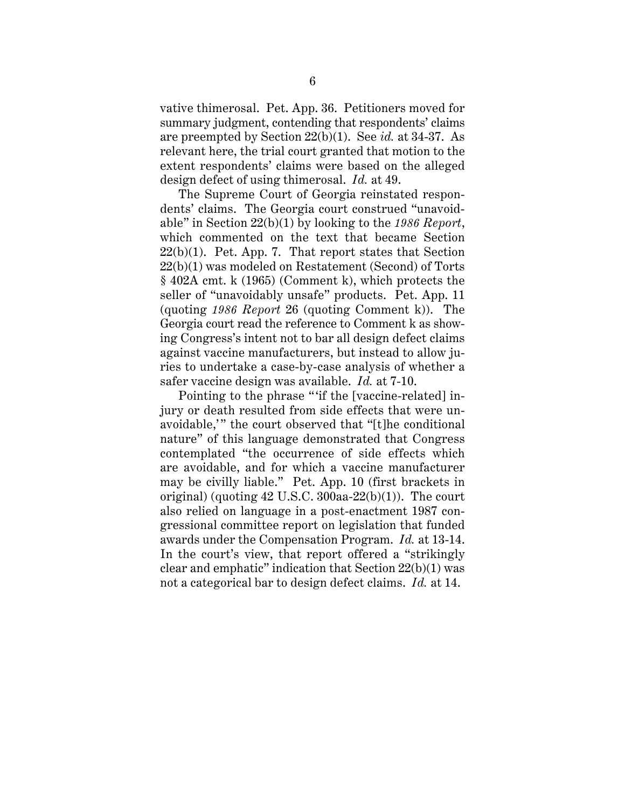vative thimerosal. Pet. App. 36. Petitioners moved for summary judgment, contending that respondents' claims are preempted by Section 22(b)(1). See *id.* at 34-37. As relevant here, the trial court granted that motion to the extent respondents' claims were based on the alleged design defect of using thimerosal. *Id.* at 49.

The Supreme Court of Georgia reinstated respondents' claims. The Georgia court construed "unavoidable" in Section 22(b)(1) by looking to the *1986 Report*, which commented on the text that became Section  $22(b)(1)$ . Pet. App. 7. That report states that Section 22(b)(1) was modeled on Restatement (Second) of Torts § 402A cmt. k (1965) (Comment k), which protects the seller of "unavoidably unsafe" products. Pet. App. 11 (quoting *1986 Report* 26 (quoting Comment k)). The Georgia court read the reference to Comment k as showing Congress's intent not to bar all design defect claims against vaccine manufacturers, but instead to allow juries to undertake a case-by-case analysis of whether a safer vaccine design was available. *Id.* at 7-10.

Pointing to the phrase "'if the [vaccine-related] injury or death resulted from side effects that were unavoidable,'" the court observed that "[t]he conditional nature" of this language demonstrated that Congress contemplated "the occurrence of side effects which are avoidable, and for which a vaccine manufacturer may be civilly liable." Pet. App. 10 (first brackets in original) (quoting  $42$  U.S.C.  $300$ aa- $22(b)(1)$ ). The court also relied on language in a post-enactment 1987 congressional committee report on legislation that funded awards under the Compensation Program. *Id.* at 13-14. In the court's view, that report offered a "strikingly clear and emphatic" indication that Section 22(b)(1) was not a categorical bar to design defect claims. *Id.* at 14.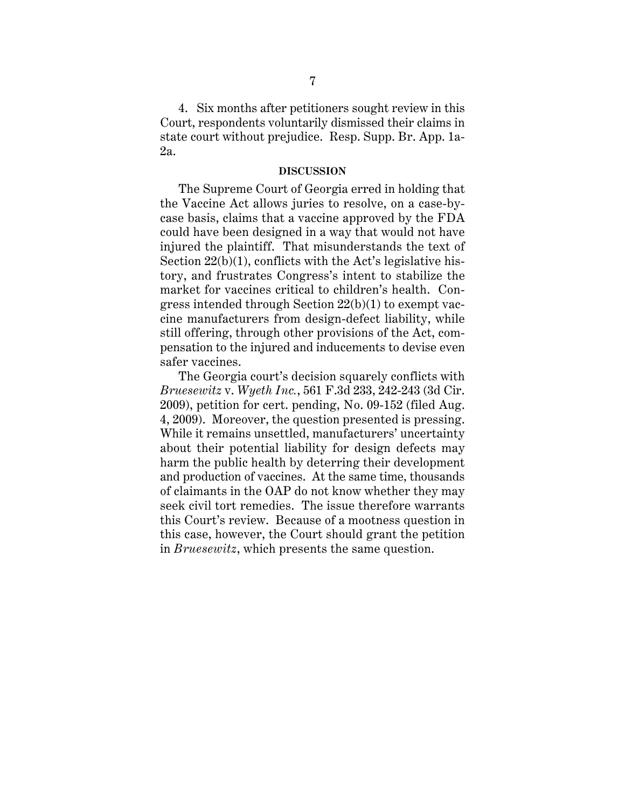4. Six months after petitioners sought review in this Court, respondents voluntarily dismissed their claims in state court without prejudice. Resp. Supp. Br. App. 1a-2a.

#### **DISCUSSION**

The Supreme Court of Georgia erred in holding that the Vaccine Act allows juries to resolve, on a case-bycase basis, claims that a vaccine approved by the FDA could have been designed in a way that would not have injured the plaintiff. That misunderstands the text of Section  $22(b)(1)$ , conflicts with the Act's legislative history, and frustrates Congress's intent to stabilize the market for vaccines critical to children's health. Congress intended through Section 22(b)(1) to exempt vaccine manufacturers from design-defect liability, while still offering, through other provisions of the Act, compensation to the injured and inducements to devise even safer vaccines.

The Georgia court's decision squarely conflicts with *Bruesewitz* v. *Wyeth Inc.*, 561 F.3d 233, 242-243 (3d Cir. 2009), petition for cert. pending, No. 09-152 (filed Aug. 4, 2009). Moreover, the question presented is pressing. While it remains unsettled, manufacturers' uncertainty about their potential liability for design defects may harm the public health by deterring their development and production of vaccines. At the same time, thousands of claimants in the OAP do not know whether they may seek civil tort remedies. The issue therefore warrants this Court's review. Because of a mootness question in this case, however, the Court should grant the petition in *Bruesewitz*, which presents the same question.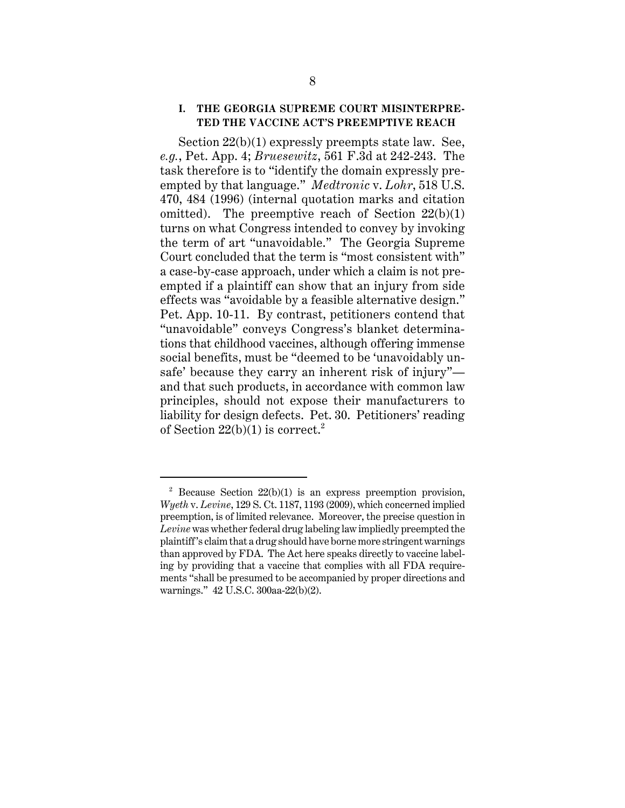#### **I. THE GEORGIA SUPREME COURT MISINTERPRE-TED THE VACCINE ACT'S PREEMPTIVE REACH**

Section 22(b)(1) expressly preempts state law. See, *e.g.*, Pet. App. 4; *Bruesewitz*, 561 F.3d at 242-243. The task therefore is to "identify the domain expressly preempted by that language." *Medtronic* v. *Lohr*, 518 U.S. 470, 484 (1996) (internal quotation marks and citation omitted). The preemptive reach of Section  $22(b)(1)$ turns on what Congress intended to convey by invoking the term of art "unavoidable." The Georgia Supreme Court concluded that the term is "most consistent with" a case-by-case approach, under which a claim is not preempted if a plaintiff can show that an injury from side effects was "avoidable by a feasible alternative design." Pet. App. 10-11. By contrast, petitioners contend that "unavoidable" conveys Congress's blanket determinations that childhood vaccines, although offering immense social benefits, must be "deemed to be 'unavoidably unsafe' because they carry an inherent risk of injury" and that such products, in accordance with common law principles, should not expose their manufacturers to liability for design defects. Pet. 30. Petitioners' reading of Section  $22(b)(1)$  is correct.<sup>2</sup>

<sup>&</sup>lt;sup>2</sup> Because Section  $22(b)(1)$  is an express preemption provision, *Wyeth* v. *Levine*, 129 S. Ct. 1187, 1193 (2009), which concerned implied preemption, is of limited relevance. Moreover, the precise question in *Levine* was whether federal drug labeling law impliedly preempted the plaintiff's claim that a drug should have borne more stringent warnings than approved by FDA. The Act here speaks directly to vaccine labeling by providing that a vaccine that complies with all FDA requirements "shall be presumed to be accompanied by proper directions and warnings." 42 U.S.C. 300aa-22(b)(2).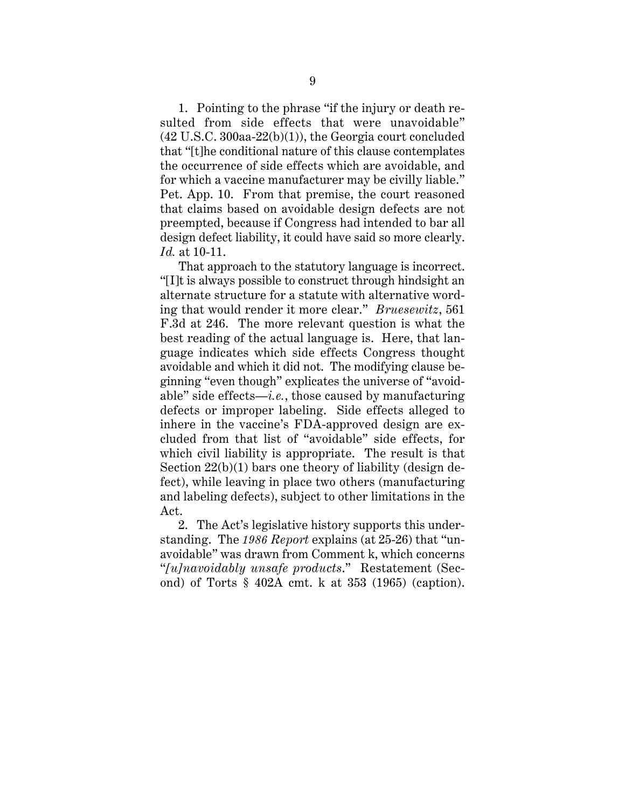1. Pointing to the phrase "if the injury or death resulted from side effects that were unavoidable"  $(42 \text{ U.S.C. } 300$ aa- $22(b)(1)$ , the Georgia court concluded that "[t]he conditional nature of this clause contemplates the occurrence of side effects which are avoidable, and for which a vaccine manufacturer may be civilly liable." Pet. App. 10. From that premise, the court reasoned that claims based on avoidable design defects are not preempted, because if Congress had intended to bar all design defect liability, it could have said so more clearly. *Id.* at 10-11.

That approach to the statutory language is incorrect. "[I]t is always possible to construct through hindsight an alternate structure for a statute with alternative wording that would render it more clear." *Bruesewitz*, 561 F.3d at 246. The more relevant question is what the best reading of the actual language is. Here, that language indicates which side effects Congress thought avoidable and which it did not. The modifying clause beginning "even though" explicates the universe of "avoidable" side effects—*i.e.*, those caused by manufacturing defects or improper labeling. Side effects alleged to inhere in the vaccine's FDA-approved design are excluded from that list of "avoidable" side effects, for which civil liability is appropriate. The result is that Section  $22(b)(1)$  bars one theory of liability (design defect), while leaving in place two others (manufacturing and labeling defects), subject to other limitations in the Act.

2. The Act's legislative history supports this understanding. The *1986 Report* explains (at 25-26) that "unavoidable" was drawn from Comment k, which concerns "*[u]navoidably unsafe products*." Restatement (Second) of Torts § 402A cmt. k at 353 (1965) (caption).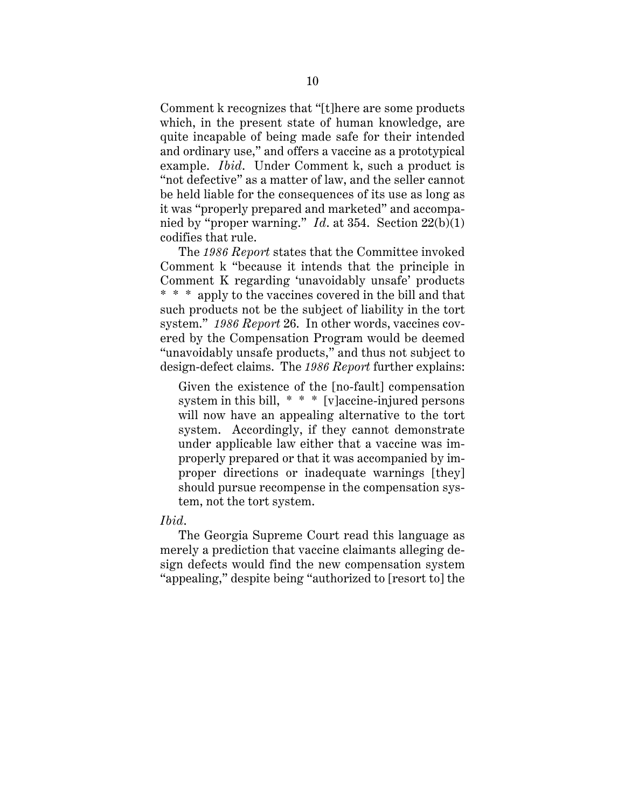Comment k recognizes that "[t]here are some products which, in the present state of human knowledge, are quite incapable of being made safe for their intended and ordinary use," and offers a vaccine as a prototypical example. *Ibid*. Under Comment k, such a product is "not defective" as a matter of law, and the seller cannot be held liable for the consequences of its use as long as it was "properly prepared and marketed" and accompanied by "proper warning." *Id*. at 354. Section 22(b)(1) codifies that rule.

The *1986 Report* states that the Committee invoked Comment k "because it intends that the principle in Comment K regarding 'unavoidably unsafe' products \* \* \* apply to the vaccines covered in the bill and that such products not be the subject of liability in the tort system." *1986 Report* 26. In other words, vaccines covered by the Compensation Program would be deemed "unavoidably unsafe products," and thus not subject to design-defect claims. The *1986 Report* further explains:

Given the existence of the [no-fault] compensation system in this bill, \* \* \* [v]accine-injured persons will now have an appealing alternative to the tort system. Accordingly, if they cannot demonstrate under applicable law either that a vaccine was improperly prepared or that it was accompanied by improper directions or inadequate warnings [they] should pursue recompense in the compensation system, not the tort system.

#### *Ibid*.

The Georgia Supreme Court read this language as merely a prediction that vaccine claimants alleging design defects would find the new compensation system "appealing," despite being "authorized to [resort to] the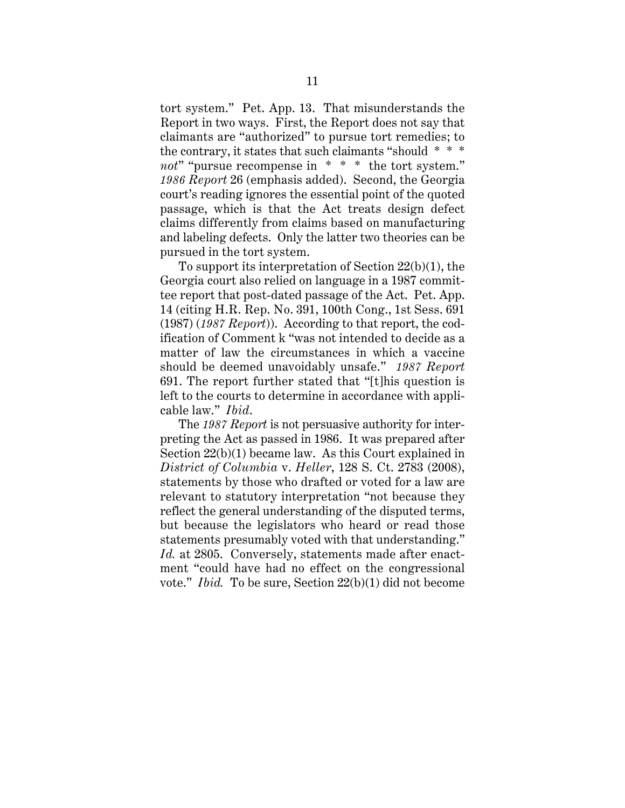tort system." Pet. App. 13. That misunderstands the Report in two ways. First, the Report does not say that claimants are "authorized" to pursue tort remedies; to the contrary, it states that such claimants "should \* \* \* *not*" "pursue recompense in \* \* \* the tort system." *1986 Report* 26 (emphasis added). Second, the Georgia court's reading ignores the essential point of the quoted passage, which is that the Act treats design defect claims differently from claims based on manufacturing and labeling defects. Only the latter two theories can be pursued in the tort system.

To support its interpretation of Section 22(b)(1), the Georgia court also relied on language in a 1987 committee report that post-dated passage of the Act. Pet. App. 14 (citing H.R. Rep. No. 391, 100th Cong., 1st Sess. 691 (1987) (*1987 Report*)). According to that report, the codification of Comment k "was not intended to decide as a matter of law the circumstances in which a vaccine should be deemed unavoidably unsafe." *1987 Report* 691. The report further stated that "[t]his question is left to the courts to determine in accordance with applicable law." *Ibid*.

The *1987 Report* is not persuasive authority for interpreting the Act as passed in 1986. It was prepared after Section 22(b)(1) became law. As this Court explained in *District of Columbia* v. *Heller*, 128 S. Ct. 2783 (2008), statements by those who drafted or voted for a law are relevant to statutory interpretation "not because they reflect the general understanding of the disputed terms, but because the legislators who heard or read those statements presumably voted with that understanding." *Id.* at 2805. Conversely, statements made after enactment "could have had no effect on the congressional vote." *Ibid.* To be sure, Section 22(b)(1) did not become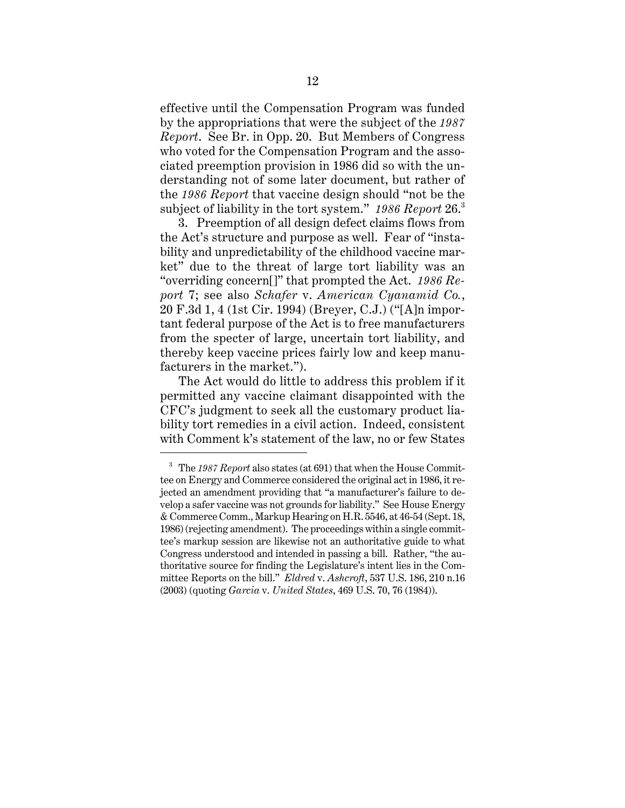effective until the Compensation Program was funded by the appropriations that were the subject of the *1987 Report*. See Br. in Opp. 20. But Members of Congress who voted for the Compensation Program and the associated preemption provision in 1986 did so with the understanding not of some later document, but rather of the *1986 Report* that vaccine design should "not be the subject of liability in the tort system." *1986 Report* 26.<sup>3</sup>

3. Preemption of all design defect claims flows from the Act's structure and purpose as well. Fear of "instability and unpredictability of the childhood vaccine market" due to the threat of large tort liability was an "overriding concern[]" that prompted the Act. *1986 Report* 7; see also *Schafer* v. *American Cyanamid Co.*, 20 F.3d 1, 4 (1st Cir. 1994) (Breyer, C.J.) ("[A]n important federal purpose of the Act is to free manufacturers from the specter of large, uncertain tort liability, and thereby keep vaccine prices fairly low and keep manufacturers in the market.").

The Act would do little to address this problem if it permitted any vaccine claimant disappointed with the CFC's judgment to seek all the customary product liability tort remedies in a civil action. Indeed, consistent with Comment k's statement of the law, no or few States

<sup>3</sup> The *1987 Report* also states (at 691) that when the House Committee on Energy and Commerce considered the original act in 1986, it rejected an amendment providing that "a manufacturer's failure to develop a safer vaccine was not grounds for liability." See House Energy & Commerce Comm., Markup Hearing on H.R. 5546, at 46-54 (Sept. 18, 1986) (rejecting amendment). The proceedings within a single committee's markup session are likewise not an authoritative guide to what Congress understood and intended in passing a bill. Rather, "the authoritative source for finding the Legislature's intent lies in the Committee Reports on the bill." *Eldred* v. *Ashcroft*, 537 U.S. 186, 210 n.16 (2003) (quoting *Garcia* v. *United States*, 469 U.S. 70, 76 (1984)).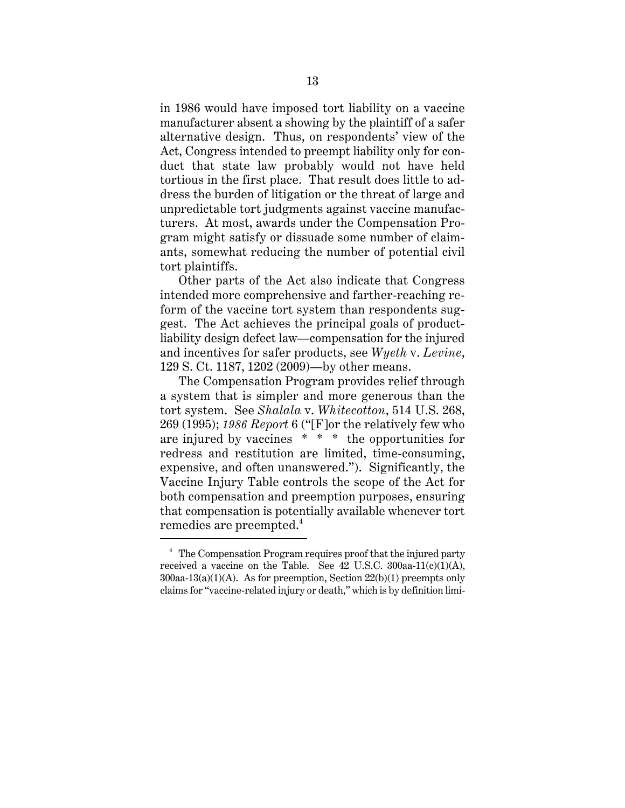in 1986 would have imposed tort liability on a vaccine manufacturer absent a showing by the plaintiff of a safer alternative design. Thus, on respondents' view of the Act, Congress intended to preempt liability only for conduct that state law probably would not have held tortious in the first place. That result does little to address the burden of litigation or the threat of large and unpredictable tort judgments against vaccine manufacturers. At most, awards under the Compensation Program might satisfy or dissuade some number of claimants, somewhat reducing the number of potential civil tort plaintiffs.

Other parts of the Act also indicate that Congress intended more comprehensive and farther-reaching reform of the vaccine tort system than respondents suggest. The Act achieves the principal goals of productliability design defect law—compensation for the injured and incentives for safer products, see *Wyeth* v. *Levine*, 129 S. Ct. 1187, 1202 (2009)—by other means.

The Compensation Program provides relief through a system that is simpler and more generous than the tort system. See *Shalala* v. *Whitecotton*, 514 U.S. 268, 269 (1995); *1986 Report* 6 ("[F]or the relatively few who are injured by vaccines \* \* \* the opportunities for redress and restitution are limited, time-consuming, expensive, and often unanswered."). Significantly, the Vaccine Injury Table controls the scope of the Act for both compensation and preemption purposes, ensuring that compensation is potentially available whenever tort remedies are preempted.<sup>4</sup>

 $4$  The Compensation Program requires proof that the injured party received a vaccine on the Table. See  $42 \text{ U.S.C. } 300$ aa- $11(c)(1)(A)$ , 300aa-13(a)(1)(A). As for preemption, Section 22(b)(1) preempts only claims for "vaccine-related injury or death," which is by definition limi-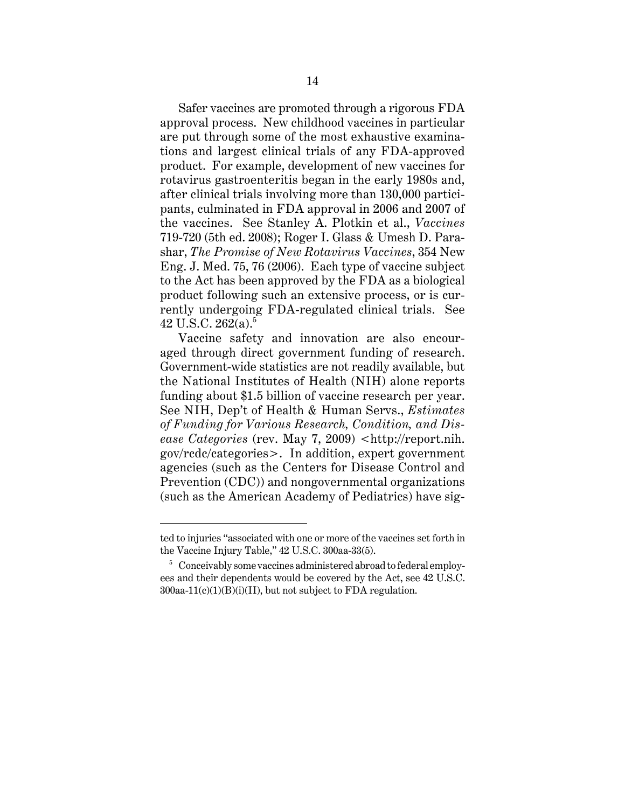Safer vaccines are promoted through a rigorous FDA approval process. New childhood vaccines in particular are put through some of the most exhaustive examinations and largest clinical trials of any FDA-approved product. For example, development of new vaccines for rotavirus gastroenteritis began in the early 1980s and, after clinical trials involving more than 130,000 participants, culminated in FDA approval in 2006 and 2007 of the vaccines. See Stanley A. Plotkin et al., *Vaccines* 719-720 (5th ed. 2008); Roger I. Glass & Umesh D. Parashar, *The Promise of New Rotavirus Vaccines*, 354 New Eng. J. Med. 75, 76 (2006). Each type of vaccine subject to the Act has been approved by the FDA as a biological product following such an extensive process, or is currently undergoing FDA-regulated clinical trials. See 42 U.S.C. 262(a).<sup>5</sup>

Vaccine safety and innovation are also encouraged through direct government funding of research. Government-wide statistics are not readily available, but the National Institutes of Health (NIH) alone reports funding about \$1.5 billion of vaccine research per year. See NIH, Dep't of Health & Human Servs., *Estimates of Funding for Various Research, Condition, and Disease Categories* (rev. May 7, 2009) <http://report.nih. gov/rcdc/categories>. In addition, expert government agencies (such as the Centers for Disease Control and Prevention (CDC)) and nongovernmental organizations (such as the American Academy of Pediatrics) have sig-

ted to injuries "associated with one or more of the vaccines set forth in the Vaccine Injury Table," 42 U.S.C. 300aa-33(5).

<sup>&</sup>lt;sup>5</sup> Conceivably some vaccines administered abroad to federal employees and their dependents would be covered by the Act, see 42 U.S.C.  $300$ aa-11(c)(1)(B)(i)(II), but not subject to FDA regulation.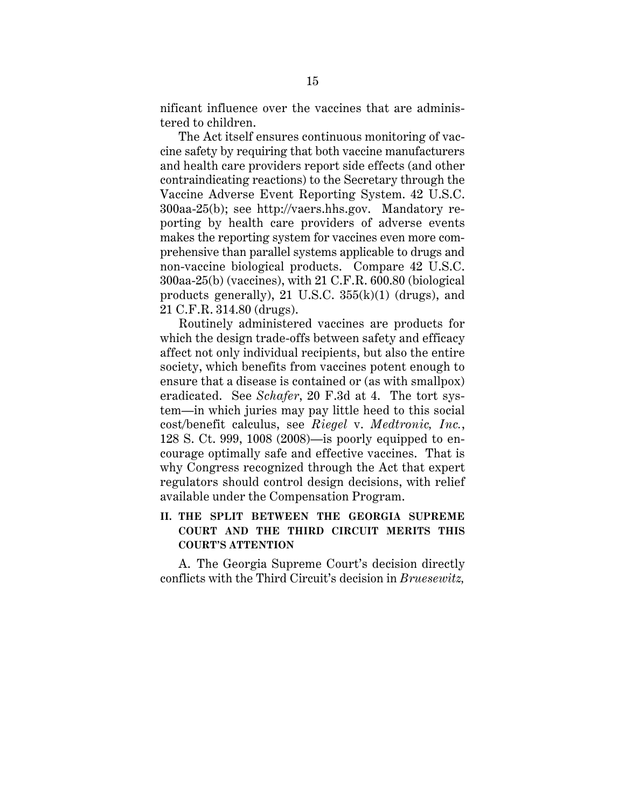nificant influence over the vaccines that are administered to children.

The Act itself ensures continuous monitoring of vaccine safety by requiring that both vaccine manufacturers and health care providers report side effects (and other contraindicating reactions) to the Secretary through the Vaccine Adverse Event Reporting System. 42 U.S.C. 300aa-25(b); see http://vaers.hhs.gov. Mandatory reporting by health care providers of adverse events makes the reporting system for vaccines even more comprehensive than parallel systems applicable to drugs and non-vaccine biological products. Compare 42 U.S.C. 300aa-25(b) (vaccines), with 21 C.F.R. 600.80 (biological products generally), 21 U.S.C.  $355(k)(1)$  (drugs), and 21 C.F.R. 314.80 (drugs).

Routinely administered vaccines are products for which the design trade-offs between safety and efficacy affect not only individual recipients, but also the entire society, which benefits from vaccines potent enough to ensure that a disease is contained or (as with smallpox) eradicated. See *Schafer*, 20 F.3d at 4. The tort system—in which juries may pay little heed to this social cost/benefit calculus, see *Riegel* v. *Medtronic, Inc.*, 128 S. Ct. 999, 1008 (2008)—is poorly equipped to encourage optimally safe and effective vaccines. That is why Congress recognized through the Act that expert regulators should control design decisions, with relief available under the Compensation Program.

## **II. THE SPLIT BETWEEN THE GEORGIA SUPREME COURT AND THE THIRD CIRCUIT MERITS THIS COURT'S ATTENTION**

A. The Georgia Supreme Court's decision directly conflicts with the Third Circuit's decision in *Bruesewitz,*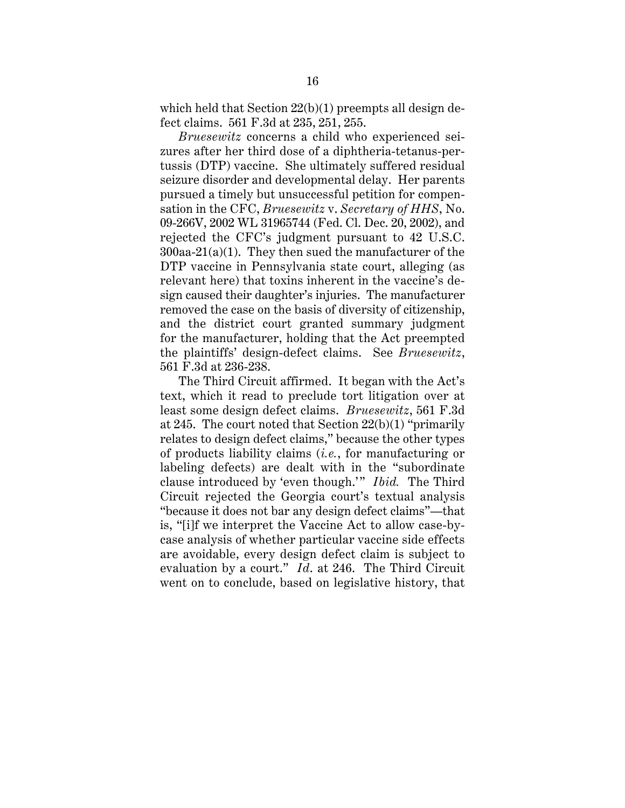which held that Section  $22(b)(1)$  preempts all design defect claims. 561 F.3d at 235, 251, 255.

*Bruesewitz* concerns a child who experienced seizures after her third dose of a diphtheria-tetanus-pertussis (DTP) vaccine. She ultimately suffered residual seizure disorder and developmental delay. Her parents pursued a timely but unsuccessful petition for compensation in the CFC, *Bruesewitz* v. *Secretary of HHS*, No. 09-266V, 2002 WL 31965744 (Fed. Cl. Dec. 20, 2002), and rejected the CFC's judgment pursuant to 42 U.S.C.  $300$ aa- $21(a)(1)$ . They then sued the manufacturer of the DTP vaccine in Pennsylvania state court, alleging (as relevant here) that toxins inherent in the vaccine's design caused their daughter's injuries. The manufacturer removed the case on the basis of diversity of citizenship, and the district court granted summary judgment for the manufacturer, holding that the Act preempted the plaintiffs' design-defect claims. See *Bruesewitz*, 561 F.3d at 236-238.

The Third Circuit affirmed. It began with the Act's text, which it read to preclude tort litigation over at least some design defect claims. *Bruesewitz*, 561 F.3d at 245. The court noted that Section 22(b)(1) "primarily relates to design defect claims," because the other types of products liability claims (*i.e.*, for manufacturing or labeling defects) are dealt with in the "subordinate clause introduced by 'even though.'" *Ibid.* The Third Circuit rejected the Georgia court's textual analysis "because it does not bar any design defect claims"—that is, "[i]f we interpret the Vaccine Act to allow case-bycase analysis of whether particular vaccine side effects are avoidable, every design defect claim is subject to evaluation by a court." *Id*. at 246. The Third Circuit went on to conclude, based on legislative history, that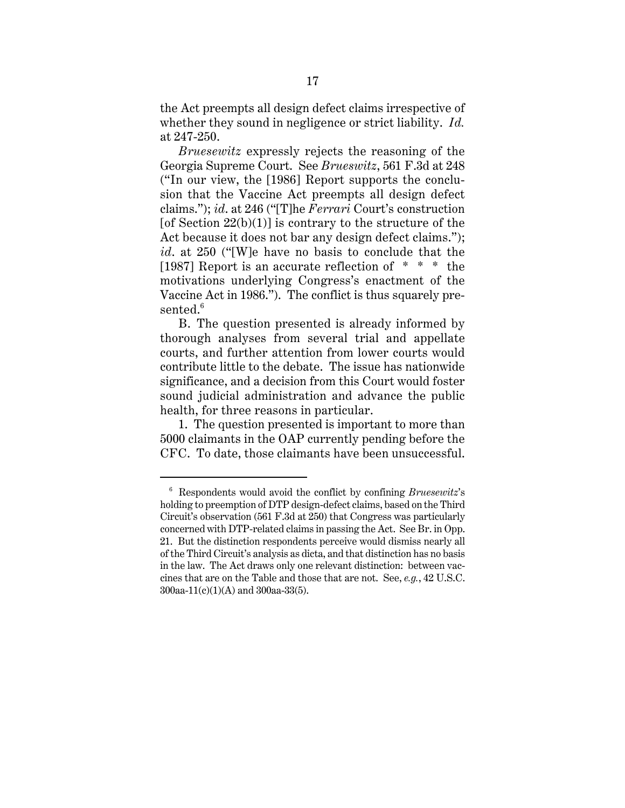the Act preempts all design defect claims irrespective of whether they sound in negligence or strict liability. *Id.* at 247-250.

*Bruesewitz* expressly rejects the reasoning of the Georgia Supreme Court. See *Brueswitz*, 561 F.3d at 248 ("In our view, the [1986] Report supports the conclusion that the Vaccine Act preempts all design defect claims."); *id*. at 246 ("[T]he *Ferrari* Court's construction [of Section  $22(b)(1)$ ] is contrary to the structure of the Act because it does not bar any design defect claims."); *id*. at 250 ("[W]e have no basis to conclude that the [1987] Report is an accurate reflection of \* \* \* the motivations underlying Congress's enactment of the Vaccine Act in 1986."). The conflict is thus squarely presented.<sup>6</sup>

B. The question presented is already informed by thorough analyses from several trial and appellate courts, and further attention from lower courts would contribute little to the debate. The issue has nationwide significance, and a decision from this Court would foster sound judicial administration and advance the public health, for three reasons in particular.

1. The question presented is important to more than 5000 claimants in the OAP currently pending before the CFC. To date, those claimants have been unsuccessful.

<sup>6</sup> Respondents would avoid the conflict by confining *Bruesewitz*'s holding to preemption of DTP design-defect claims, based on the Third Circuit's observation (561 F.3d at 250) that Congress was particularly concerned with DTP-related claims in passing the Act. See Br. in Opp. 21. But the distinction respondents perceive would dismiss nearly all of the Third Circuit's analysis as dicta, and that distinction has no basis in the law. The Act draws only one relevant distinction: between vaccines that are on the Table and those that are not. See, *e.g.*, 42 U.S.C. 300aa-11(c)(1)(A) and 300aa-33(5).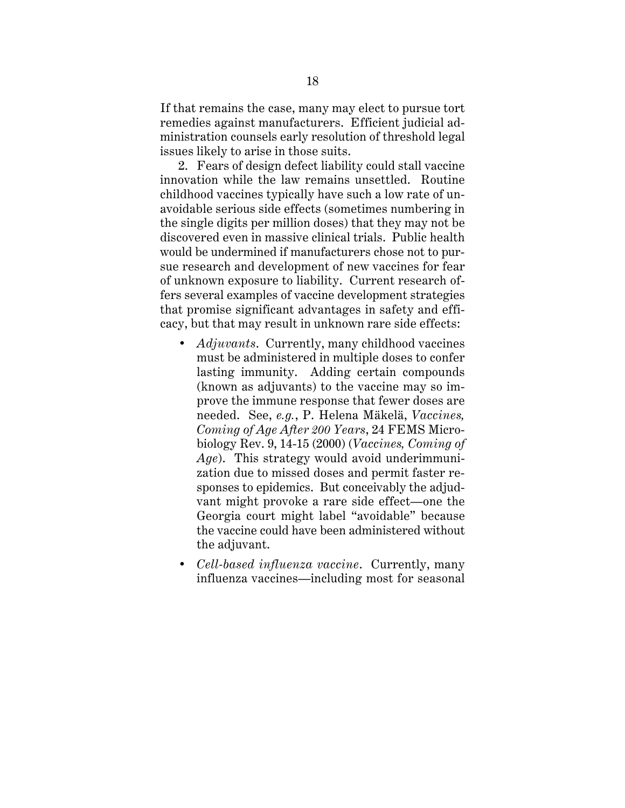If that remains the case, many may elect to pursue tort remedies against manufacturers. Efficient judicial administration counsels early resolution of threshold legal issues likely to arise in those suits.

2. Fears of design defect liability could stall vaccine innovation while the law remains unsettled. Routine childhood vaccines typically have such a low rate of unavoidable serious side effects (sometimes numbering in the single digits per million doses) that they may not be discovered even in massive clinical trials. Public health would be undermined if manufacturers chose not to pursue research and development of new vaccines for fear of unknown exposure to liability. Current research offers several examples of vaccine development strategies that promise significant advantages in safety and efficacy, but that may result in unknown rare side effects:

- *Adjuvants*. Currently, many childhood vaccines must be administered in multiple doses to confer lasting immunity. Adding certain compounds (known as adjuvants) to the vaccine may so improve the immune response that fewer doses are needed. See, *e.g.*, P. Helena Mäkelä, *Vaccines, Coming of Age After 200 Years*, 24 FEMS Microbiology Rev. 9, 14-15 (2000) (*Vaccines, Coming of Age*). This strategy would avoid underimmunization due to missed doses and permit faster responses to epidemics. But conceivably the adjudvant might provoke a rare side effect—one the Georgia court might label "avoidable" because the vaccine could have been administered without the adjuvant.
- *Cell-based influenza vaccine*. Currently, many influenza vaccines—including most for seasonal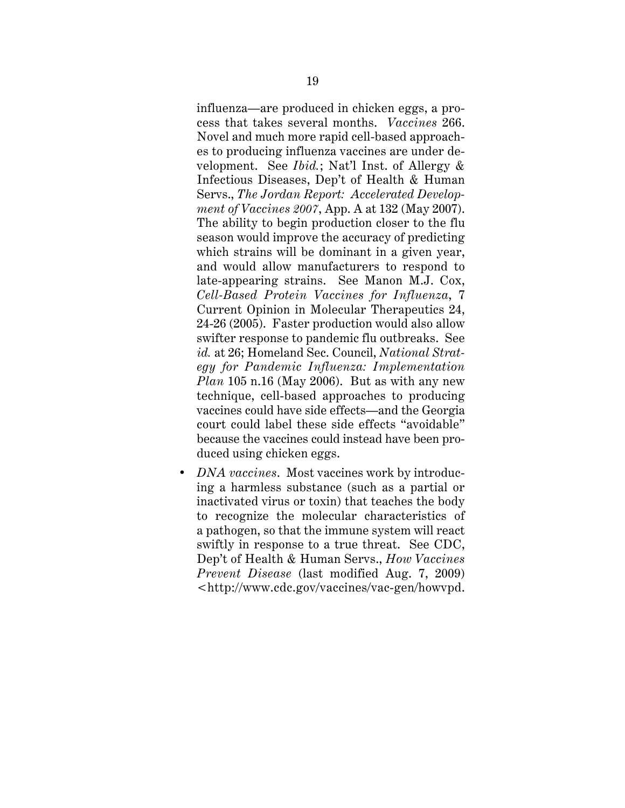influenza—are produced in chicken eggs, a process that takes several months. *Vaccines* 266. Novel and much more rapid cell-based approaches to producing influenza vaccines are under development. See *Ibid.*; Nat'l Inst. of Allergy & Infectious Diseases, Dep't of Health & Human Servs., *The Jordan Report: Accelerated Development of Vaccines 2007*, App. A at 132 (May 2007). The ability to begin production closer to the flu season would improve the accuracy of predicting which strains will be dominant in a given year, and would allow manufacturers to respond to late-appearing strains. See Manon M.J. Cox, *Cell-Based Protein Vaccines for Influenza*, 7 Current Opinion in Molecular Therapeutics 24, 24-26 (2005). Faster production would also allow swifter response to pandemic flu outbreaks. See *id.* at 26; Homeland Sec. Council, *National Strategy for Pandemic Influenza: Implementation Plan* 105 n.16 (May 2006). But as with any new technique, cell-based approaches to producing vaccines could have side effects—and the Georgia court could label these side effects "avoidable" because the vaccines could instead have been produced using chicken eggs.

• *DNA vaccines*. Most vaccines work by introducing a harmless substance (such as a partial or inactivated virus or toxin) that teaches the body to recognize the molecular characteristics of a pathogen, so that the immune system will react swiftly in response to a true threat. See CDC, Dep't of Health & Human Servs., *How Vaccines Prevent Disease* (last modified Aug. 7, 2009) <http://www.cdc.gov/vaccines/vac-gen/howvpd.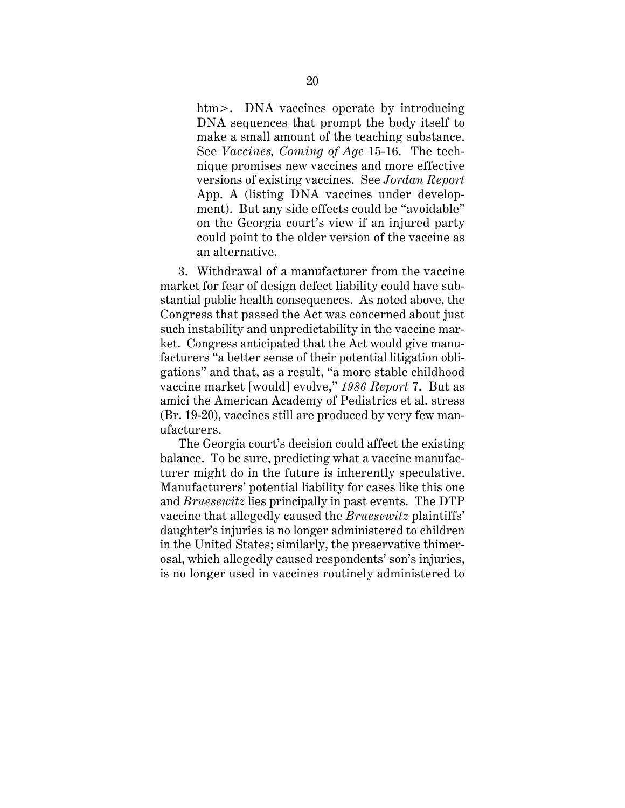htm>. DNA vaccines operate by introducing DNA sequences that prompt the body itself to make a small amount of the teaching substance. See *Vaccines, Coming of Age* 15-16. The technique promises new vaccines and more effective versions of existing vaccines. See *Jordan Report* App. A (listing DNA vaccines under development). But any side effects could be "avoidable" on the Georgia court's view if an injured party could point to the older version of the vaccine as an alternative.

3. Withdrawal of a manufacturer from the vaccine market for fear of design defect liability could have substantial public health consequences. As noted above, the Congress that passed the Act was concerned about just such instability and unpredictability in the vaccine market. Congress anticipated that the Act would give manufacturers "a better sense of their potential litigation obligations" and that, as a result, "a more stable childhood vaccine market [would] evolve," *1986 Report* 7. But as amici the American Academy of Pediatrics et al. stress (Br. 19-20), vaccines still are produced by very few manufacturers.

The Georgia court's decision could affect the existing balance. To be sure, predicting what a vaccine manufacturer might do in the future is inherently speculative. Manufacturers' potential liability for cases like this one and *Bruesewitz* lies principally in past events. The DTP vaccine that allegedly caused the *Bruesewitz* plaintiffs' daughter's injuries is no longer administered to children in the United States; similarly, the preservative thimerosal, which allegedly caused respondents' son's injuries, is no longer used in vaccines routinely administered to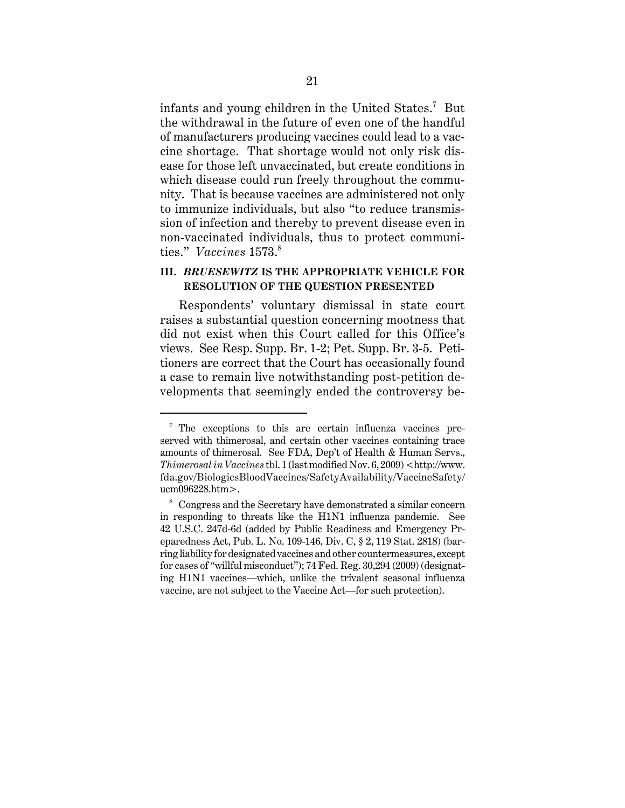infants and young children in the United States. $^7$  But the withdrawal in the future of even one of the handful of manufacturers producing vaccines could lead to a vaccine shortage. That shortage would not only risk disease for those left unvaccinated, but create conditions in which disease could run freely throughout the community. That is because vaccines are administered not only to immunize individuals, but also "to reduce transmission of infection and thereby to prevent disease even in non-vaccinated individuals, thus to protect communities." *Vaccines* 1573.<sup>8</sup>

## **III.** *BRUESEWITZ* **IS THE APPROPRIATE VEHICLE FOR RESOLUTION OF THE QUESTION PRESENTED**

Respondents' voluntary dismissal in state court raises a substantial question concerning mootness that did not exist when this Court called for this Office's views. See Resp. Supp. Br. 1-2; Pet. Supp. Br. 3-5. Petitioners are correct that the Court has occasionally found a case to remain live notwithstanding post-petition developments that seemingly ended the controversy be-

<sup>7</sup> The exceptions to this are certain influenza vaccines preserved with thimerosal, and certain other vaccines containing trace amounts of thimerosal. See FDA, Dep't of Health & Human Servs., *Thimerosal in Vaccines* tbl. 1 (last modified Nov. 6, 2009) <http://www. fda.gov/BiologicsBloodVaccines/SafetyAvailability/VaccineSafety/ ucm096228.htm>.

<sup>8</sup> Congress and the Secretary have demonstrated a similar concern in responding to threats like the H1N1 influenza pandemic. See 42 U.S.C. 247d-6d (added by Public Readiness and Emergency Preparedness Act, Pub. L. No. 109-146, Div. C, § 2, 119 Stat. 2818) (barring liability for designated vaccines and other countermeasures, except for cases of "willful misconduct"); 74 Fed. Reg. 30,294 (2009) (designating H1N1 vaccines—which, unlike the trivalent seasonal influenza vaccine, are not subject to the Vaccine Act—for such protection).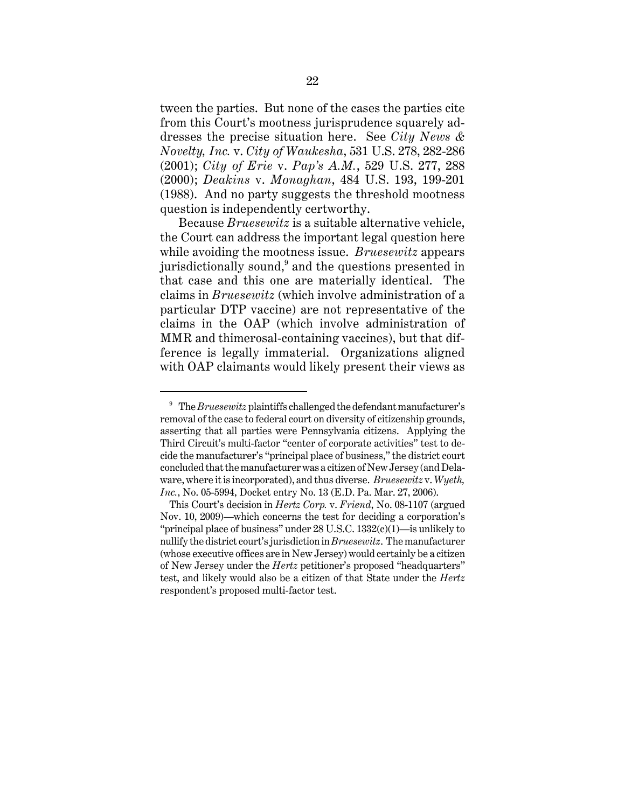tween the parties. But none of the cases the parties cite from this Court's mootness jurisprudence squarely addresses the precise situation here. See *City News & Novelty, Inc.* v. *City of Waukesha*, 531 U.S. 278, 282-286 (2001); *City of Erie* v. *Pap's A.M.*, 529 U.S. 277, 288 (2000); *Deakins* v. *Monaghan*, 484 U.S. 193, 199-201 (1988). And no party suggests the threshold mootness question is independently certworthy.

Because *Bruesewitz* is a suitable alternative vehicle, the Court can address the important legal question here while avoiding the mootness issue. *Bruesewitz* appears jurisdictionally sound, $^9$  and the questions presented in that case and this one are materially identical. The claims in *Bruesewitz* (which involve administration of a particular DTP vaccine) are not representative of the claims in the OAP (which involve administration of MMR and thimerosal-containing vaccines), but that difference is legally immaterial. Organizations aligned with OAP claimants would likely present their views as

<sup>9</sup> The *Bruesewitz* plaintiffs challenged the defendant manufacturer's removal of the case to federal court on diversity of citizenship grounds, asserting that all parties were Pennsylvania citizens. Applying the Third Circuit's multi-factor "center of corporate activities" test to decide the manufacturer's "principal place of business," the district court concluded that the manufacturer was a citizen of New Jersey (and Delaware, where it is incorporated), and thus diverse. *Bruesewitz* v. *Wyeth, Inc.*, No. 05-5994, Docket entry No. 13 (E.D. Pa. Mar. 27, 2006).

This Court's decision in *Hertz Corp.* v. *Friend*, No. 08-1107 (argued Nov. 10, 2009)—which concerns the test for deciding a corporation's "principal place of business" under 28 U.S.C. 1332(c)(1)—is unlikely to nullify the district court's jurisdiction in *Bruesewitz*. The manufacturer (whose executive offices are in New Jersey) would certainly be a citizen of New Jersey under the *Hertz* petitioner's proposed "headquarters" test, and likely would also be a citizen of that State under the *Hertz* respondent's proposed multi-factor test.